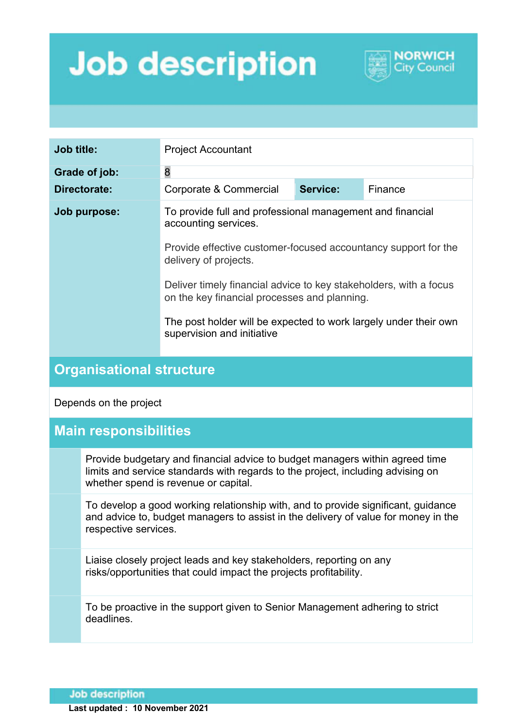## **Job description**



| <b>Job title:</b> | <b>Project Accountant</b>                                                                                         |          |         |
|-------------------|-------------------------------------------------------------------------------------------------------------------|----------|---------|
| Grade of job:     | 8                                                                                                                 |          |         |
| Directorate:      | Corporate & Commercial                                                                                            | Service: | Finance |
| Job purpose:      | To provide full and professional management and financial<br>accounting services.                                 |          |         |
|                   | Provide effective customer-focused accountancy support for the<br>delivery of projects.                           |          |         |
|                   | Deliver timely financial advice to key stakeholders, with a focus<br>on the key financial processes and planning. |          |         |
|                   | The post holder will be expected to work largely under their own<br>supervision and initiative                    |          |         |

## **Organisational structure**

Depends on the project

## **Main responsibilities**

Provide budgetary and financial advice to budget managers within agreed time limits and service standards with regards to the project, including advising on whether spend is revenue or capital.

To develop a good working relationship with, and to provide significant, guidance and advice to, budget managers to assist in the delivery of value for money in the respective services.

Liaise closely project leads and key stakeholders, reporting on any risks/opportunities that could impact the projects profitability.

To be proactive in the support given to Senior Management adhering to strict deadlines.